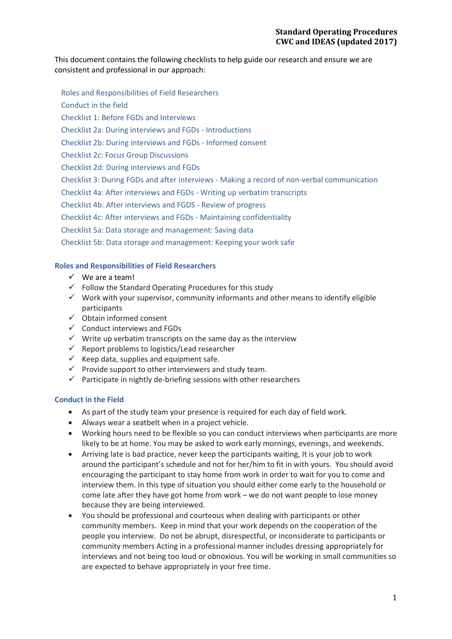This document contains the following checklists to help guide our research and ensure we are consistent and professional in our approach:

Roles and Responsibilities of Field Researchers Conduct in the field Checklist 1: Before FGDs and Interviews Checklist 2a: During interviews and FGDs - Introductions Checklist 2b: During interviews and FGDs - Informed consent Checklist 2c: Focus Group Discussions Checklist 2d: During interviews and FGDs Checklist 3: During FGDs and after interviews - Making a record of non-verbal communication Checklist 4a: After interviews and FGDs - Writing up verbatim transcripts Checklist 4b: After interviews and FGDS - Review of progress Checklist 4c: After interviews and FGDs - Maintaining confidentiality Checklist 5a: Data storage and management: Saving data Checklist 5b: Data storage and management: Keeping your work safe

# **Roles and Responsibilities of Field Researchers**

- $\checkmark$  We are a team!
- $\checkmark$  Follow the Standard Operating Procedures for this study
- $\checkmark$  Work with your supervisor, community informants and other means to identify eligible participants
- $\checkmark$  Obtain informed consent
- $\checkmark$  Conduct interviews and FGDs
- $\checkmark$  Write up verbatim transcripts on the same day as the interview
- $\checkmark$  Report problems to logistics/Lead researcher
- $\checkmark$  Keep data, supplies and equipment safe.
- $\checkmark$  Provide support to other interviewers and study team.
- $\checkmark$  Participate in nightly de-briefing sessions with other researchers

### **Conduct in the Field**

- As part of the study team your presence is required for each day of field work.
- Always wear a seatbelt when in a project vehicle.
- Working hours need to be flexible so you can conduct interviews when participants are more likely to be at home. You may be asked to work early mornings, evenings, and weekends.
- Arriving late is bad practice, never keep the participants waiting, It is your job to work around the participant's schedule and not for her/him to fit in with yours. You should avoid encouraging the participant to stay home from work in order to wait for you to come and interview them. In this type of situation you should either come early to the household or come late after they have got home from work – we do not want people to lose money because they are being interviewed.
- You should be professional and courteous when dealing with participants or other community members. Keep in mind that your work depends on the cooperation of the people you interview. Do not be abrupt, disrespectful, or inconsiderate to participants or community members Acting in a professional manner includes dressing appropriately for interviews and not being too loud or obnoxious. You will be working in small communities so are expected to behave appropriately in your free time.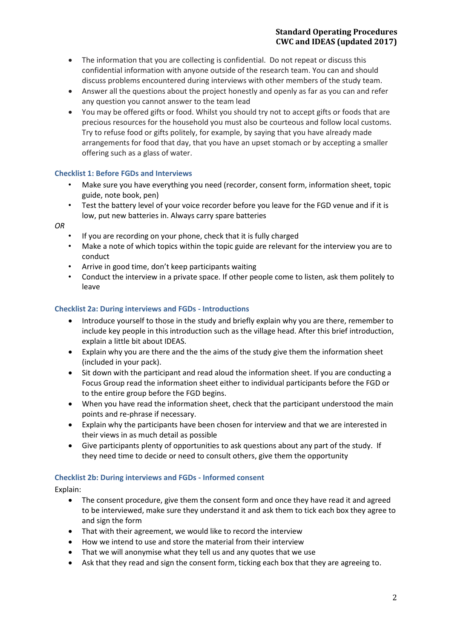- The information that you are collecting is confidential. Do not repeat or discuss this confidential information with anyone outside of the research team. You can and should discuss problems encountered during interviews with other members of the study team.
- Answer all the questions about the project honestly and openly as far as you can and refer any question you cannot answer to the team lead
- You may be offered gifts or food. Whilst you should try not to accept gifts or foods that are precious resources for the household you must also be courteous and follow local customs. Try to refuse food or gifts politely, for example, by saying that you have already made arrangements for food that day, that you have an upset stomach or by accepting a smaller offering such as a glass of water.

# **Checklist 1: Before FGDs and Interviews**

- Make sure you have everything you need (recorder, consent form, information sheet, topic guide, note book, pen)
- Test the battery level of your voice recorder before you leave for the FGD venue and if it is low, put new batteries in. Always carry spare batteries

*OR* 

- If you are recording on your phone, check that it is fully charged
- Make a note of which topics within the topic guide are relevant for the interview you are to conduct
- Arrive in good time, don't keep participants waiting
- Conduct the interview in a private space. If other people come to listen, ask them politely to leave

# **Checklist 2a: During interviews and FGDs - Introductions**

- Introduce yourself to those in the study and briefly explain why you are there, remember to include key people in this introduction such as the village head. After this brief introduction, explain a little bit about IDEAS.
- Explain why you are there and the the aims of the study give them the information sheet (included in your pack).
- Sit down with the participant and read aloud the information sheet. If you are conducting a Focus Group read the information sheet either to individual participants before the FGD or to the entire group before the FGD begins.
- When you have read the information sheet, check that the participant understood the main points and re-phrase if necessary.
- Explain why the participants have been chosen for interview and that we are interested in their views in as much detail as possible
- Give participants plenty of opportunities to ask questions about any part of the study. If they need time to decide or need to consult others, give them the opportunity

### **Checklist 2b: During interviews and FGDs - Informed consent**

Explain:

- The consent procedure, give them the consent form and once they have read it and agreed to be interviewed, make sure they understand it and ask them to tick each box they agree to and sign the form
- That with their agreement, we would like to record the interview
- How we intend to use and store the material from their interview
- That we will anonymise what they tell us and any quotes that we use
- Ask that they read and sign the consent form, ticking each box that they are agreeing to.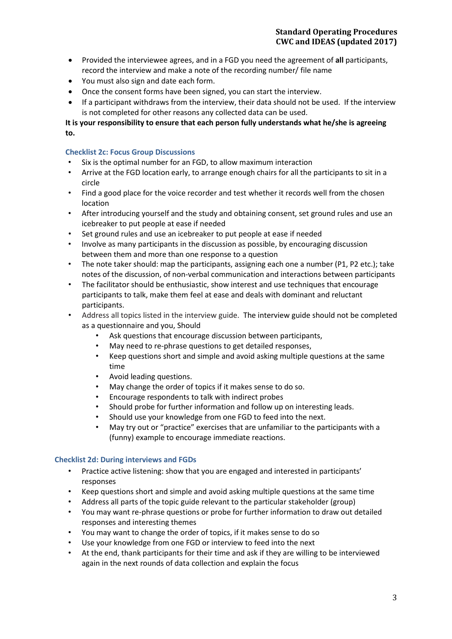- Provided the interviewee agrees, and in a FGD you need the agreement of **all** participants, record the interview and make a note of the recording number/ file name
- You must also sign and date each form.
- Once the consent forms have been signed, you can start the interview.
- If a participant withdraws from the interview, their data should not be used. If the interview is not completed for other reasons any collected data can be used.

**It is your responsibility to ensure that each person fully understands what he/she is agreeing to.**

# **Checklist 2c: Focus Group Discussions**

- Six is the optimal number for an FGD, to allow maximum interaction
- Arrive at the FGD location early, to arrange enough chairs for all the participants to sit in a circle
- Find a good place for the voice recorder and test whether it records well from the chosen location
- After introducing yourself and the study and obtaining consent, set ground rules and use an icebreaker to put people at ease if needed
- Set ground rules and use an icebreaker to put people at ease if needed
- Involve as many participants in the discussion as possible, by encouraging discussion between them and more than one response to a question
- The note taker should: map the participants, assigning each one a number (P1, P2 etc.); take notes of the discussion, of non-verbal communication and interactions between participants
- The facilitator should be enthusiastic, show interest and use techniques that encourage participants to talk, make them feel at ease and deals with dominant and reluctant participants.
- Address all topics listed in the interview guide. The interview guide should not be completed as a questionnaire and you, Should
	- Ask questions that encourage discussion between participants,
	- May need to re-phrase questions to get detailed responses,
	- Keep questions short and simple and avoid asking multiple questions at the same time
	- Avoid leading questions.
	- May change the order of topics if it makes sense to do so.
	- Encourage respondents to talk with indirect probes
	- Should probe for further information and follow up on interesting leads.
	- Should use your knowledge from one FGD to feed into the next.
	- May try out or "practice" exercises that are unfamiliar to the participants with a (funny) example to encourage immediate reactions.

### **Checklist 2d: During interviews and FGDs**

- Practice active listening: show that you are engaged and interested in participants' responses
- Keep questions short and simple and avoid asking multiple questions at the same time
- Address all parts of the topic guide relevant to the particular stakeholder (group)
- You may want re-phrase questions or probe for further information to draw out detailed responses and interesting themes
- You may want to change the order of topics, if it makes sense to do so
- Use your knowledge from one FGD or interview to feed into the next
- At the end, thank participants for their time and ask if they are willing to be interviewed again in the next rounds of data collection and explain the focus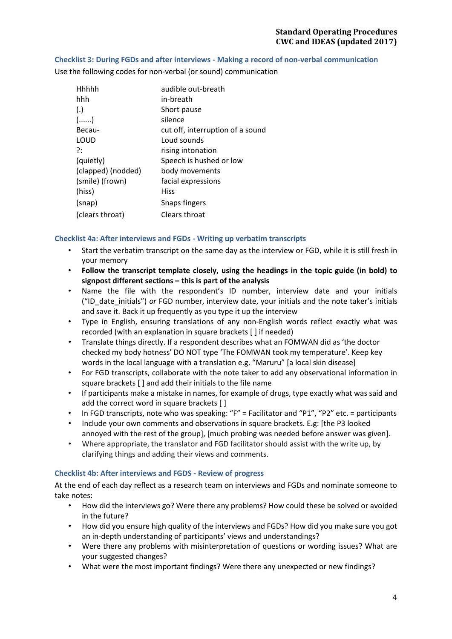### **Checklist 3: During FGDs and after interviews - Making a record of non-verbal communication**

Hhhhh audible out-breath hhh in-breath (.) Short pause (......) silence Becau- cut off, interruption of a sound LOUD Loud sounds ?: The rising intonation (quietly) Speech is hushed or low (clapped) (nodded) body movements (smile) (frown) facial expressions (hiss) Hiss (snap) Snaps fingers (clears throat) Clears throat

Use the following codes for non-verbal (or sound) communication

### **Checklist 4a: After interviews and FGDs - Writing up verbatim transcripts**

- Start the verbatim transcript on the same day as the interview or FGD, while it is still fresh in your memory
- **Follow the transcript template closely, using the headings in the topic guide (in bold) to signpost different sections – this is part of the analysis**
- Name the file with the respondent's ID number, interview date and your initials ("ID\_date\_initials") *or* FGD number, interview date, your initials and the note taker's initials and save it. Back it up frequently as you type it up the interview
- Type in English, ensuring translations of any non-English words reflect exactly what was recorded (with an explanation in square brackets [ ] if needed)
- Translate things directly. If a respondent describes what an FOMWAN did as 'the doctor checked my body hotness' DO NOT type 'The FOMWAN took my temperature'. Keep key words in the local language with a translation e.g. "Maruru" [a local skin disease]
- For FGD transcripts, collaborate with the note taker to add any observational information in square brackets [ ] and add their initials to the file name
- If participants make a mistake in names, for example of drugs, type exactly what was said and add the correct word in square brackets []
- In FGD transcripts, note who was speaking: "F" = Facilitator and "P1", "P2" etc. = participants
- Include your own comments and observations in square brackets. E.g: [the P3 looked annoyed with the rest of the group], [much probing was needed before answer was given].
- Where appropriate, the translator and FGD facilitator should assist with the write up, by clarifying things and adding their views and comments.

### **Checklist 4b: After interviews and FGDS - Review of progress**

At the end of each day reflect as a research team on interviews and FGDs and nominate someone to take notes:

- How did the interviews go? Were there any problems? How could these be solved or avoided in the future?
- How did you ensure high quality of the interviews and FGDs? How did you make sure you got an in-depth understanding of participants' views and understandings?
- Were there any problems with misinterpretation of questions or wording issues? What are your suggested changes?
- What were the most important findings? Were there any unexpected or new findings?